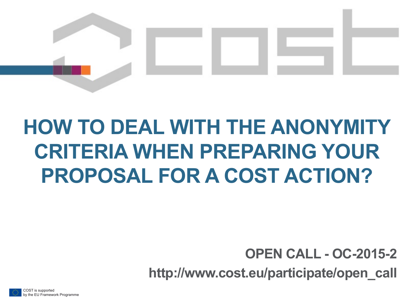

# **HOW TO DEAL WITH THE ANONYMITY CRITERIA WHEN PREPARING YOUR PROPOSAL FOR A COST ACTION?**

### **OPEN CALL - OC-2015-2**

**http://www.cost.eu/participate/open\_call** 

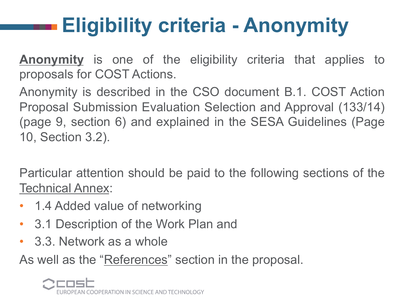# **Eligibility criteria - Anonymity**

**Anonymity** is one of the eligibility criteria that applies to proposals for COST Actions.

Anonymity is described in the CSO document B.1. COST Action Proposal Submission Evaluation Selection and Approval (133/14) (page 9, section 6) and explained in the SESA Guidelines (Page 10, Section 3.2).

Particular attention should be paid to the following sections of the Technical Annex:

- 1.4 Added value of networking
- 3.1 Description of the Work Plan and
- 3.3. Network as a whole

As well as the "References" section in the proposal.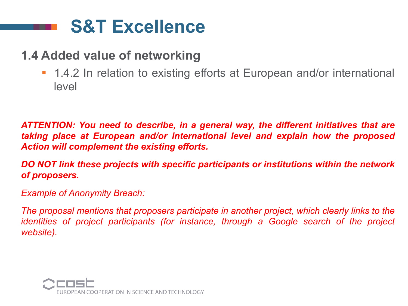## **S&T Excellence**

#### **1.4 Added value of networking**

■ 1.4.2 In relation to existing efforts at European and/or international level

*ATTENTION: You need to describe, in a general way, the different initiatives that are taking place at European and/or international level and explain how the proposed Action will complement the existing efforts.* 

*DO NOT link these projects with specific participants or institutions within the network of proposers.* 

*Example of Anonymity Breach:* 

*The proposal mentions that proposers participate in another project, which clearly links to the identities of project participants (for instance, through a Google search of the project website).* 

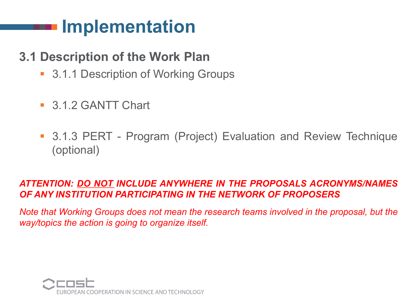## **Implementation**

#### **3.1 Description of the Work Plan**

- 3.1.1 Description of Working Groups
- 3.1.2 GANTT Chart
- 3.1.3 PERT Program (Project) Evaluation and Review Technique (optional)

#### *ATTENTION: DO NOT INCLUDE ANYWHERE IN THE PROPOSALS ACRONYMS/NAMES OF ANY INSTITUTION PARTICIPATING IN THE NETWORK OF PROPOSERS*

*Note that Working Groups does not mean the research teams involved in the proposal, but the way/topics the action is going to organize itself.* 

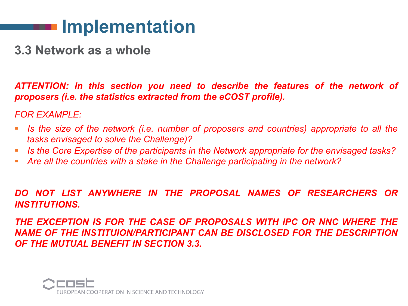### **Implementation**

**3.3 Network as a whole** 

*ATTENTION: In this section you need to describe the features of the network of proposers (i.e. the statistics extracted from the eCOST profile).* 

*FOR EXAMPLE:* 

- § *Is the size of the network (i.e. number of proposers and countries) appropriate to all the tasks envisaged to solve the Challenge)?*
- § *Is the Core Expertise of the participants in the Network appropriate for the envisaged tasks?*
- § *Are all the countries with a stake in the Challenge participating in the network?*

*DO NOT LIST ANYWHERE IN THE PROPOSAL NAMES OF RESEARCHERS OR INSTITUTIONS.* 

*THE EXCEPTION IS FOR THE CASE OF PROPOSALS WITH IPC OR NNC WHERE THE NAME OF THE INSTITUION/PARTICIPANT CAN BE DISCLOSED FOR THE DESCRIPTION OF THE MUTUAL BENEFIT IN SECTION 3.3.* 

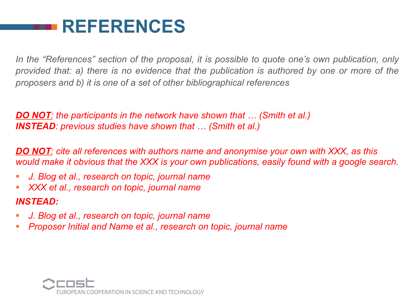## **REFERENCES**

*In the "References" section of the proposal, it is possible to quote one's own publication, only provided that: a) there is no evidence that the publication is authored by one or more of the proposers and b) it is one of a set of other bibliographical references* 

*DO NOT: the participants in the network have shown that … (Smith et al.) INSTEAD: previous studies have shown that … (Smith et al.)* 

*DO NOT: cite all references with authors name and anonymise your own with XXX, as this would make it obvious that the XXX is your own publications, easily found with a google search.* 

- § *J. Blog et al., research on topic, journal name*
- § *XXX et al., research on topic, journal name*

#### *INSTEAD:*

- § *J. Blog et al., research on topic, journal name*
- § *Proposer Initial and Name et al., research on topic, journal name*

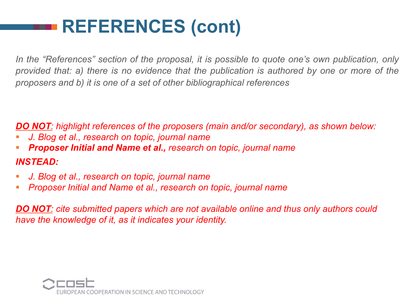## **REFERENCES (cont)**

*In the "References" section of the proposal, it is possible to quote one's own publication, only provided that: a) there is no evidence that the publication is authored by one or more of the proposers and b) it is one of a set of other bibliographical references* 

*DO NOT: highlight references of the proposers (main and/or secondary), as shown below:* 

- § *J. Blog et al., research on topic, journal name*
- § *Proposer Initial and Name et al., research on topic, journal name*

#### *INSTEAD:*

- § *J. Blog et al., research on topic, journal name*
- § *Proposer Initial and Name et al., research on topic, journal name*

*DO NOT: cite submitted papers which are not available online and thus only authors could have the knowledge of it, as it indicates your identity.*

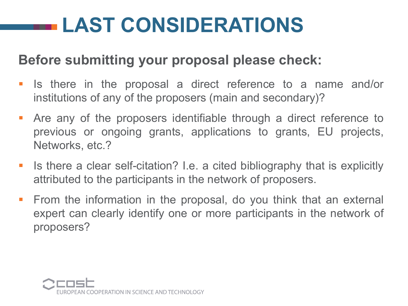# **LAST CONSIDERATIONS**

### **Before submitting your proposal please check:**

- § Is there in the proposal a direct reference to a name and/or institutions of any of the proposers (main and secondary)?
- **Are any of the proposers identifiable through a direct reference to** previous or ongoing grants, applications to grants, EU projects, Networks, etc.?
- Is there a clear self-citation? I.e. a cited bibliography that is explicitly attributed to the participants in the network of proposers.
- **•** From the information in the proposal, do you think that an external expert can clearly identify one or more participants in the network of proposers?

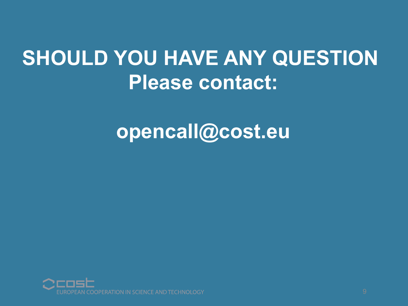# **SHOULD YOU HAVE ANY QUESTION Please contact:**

## **opencall@cost.eu**